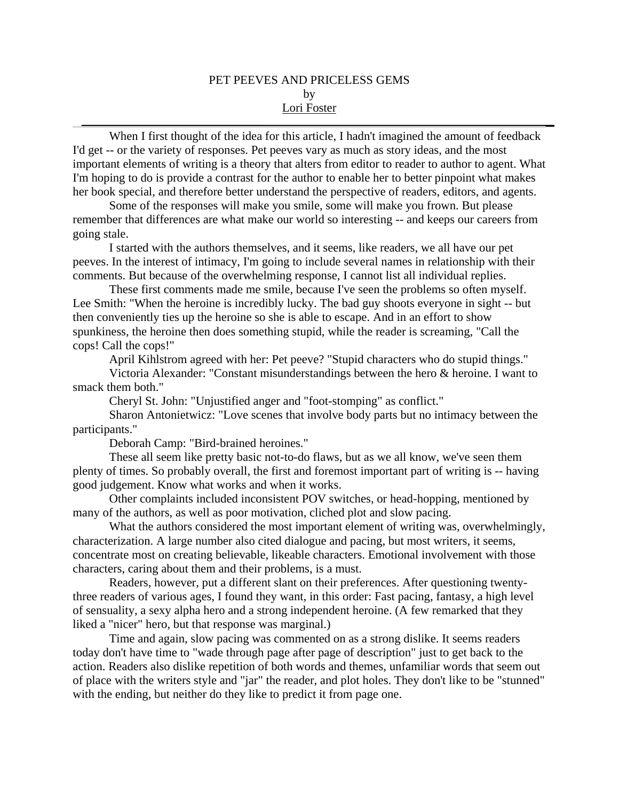## PET PEEVES AND PRICELESS GEMS by Lori Foster

When I first thought of the idea for this article, I hadn't imagined the amount of feedback I'd get -- or the variety of responses. Pet peeves vary as much as story ideas, and the most important elements of writing is a theory that alters from editor to reader to author to agent. What I'm hoping to do is provide a contrast for the author to enable her to better pinpoint what makes her book special, and therefore better understand the perspective of readers, editors, and agents.

Some of the responses will make you smile, some will make you frown. But please remember that differences are what make our world so interesting -- and keeps our careers from going stale.

I started with the authors themselves, and it seems, like readers, we all have our pet peeves. In the interest of intimacy, I'm going to include several names in relationship with their comments. But because of the overwhelming response, I cannot list all individual replies.

These first comments made me smile, because I've seen the problems so often myself. Lee Smith: "When the heroine is incredibly lucky. The bad guy shoots everyone in sight -- but then conveniently ties up the heroine so she is able to escape. And in an effort to show spunkiness, the heroine then does something stupid, while the reader is screaming, "Call the cops! Call the cops!"

April Kihlstrom agreed with her: Pet peeve? "Stupid characters who do stupid things."

Victoria Alexander: "Constant misunderstandings between the hero & heroine. I want to smack them both."

Cheryl St. John: "Unjustified anger and "foot-stomping" as conflict."

Sharon Antonietwicz: "Love scenes that involve body parts but no intimacy between the participants."

Deborah Camp: "Bird-brained heroines."

These all seem like pretty basic not-to-do flaws, but as we all know, we've seen them plenty of times. So probably overall, the first and foremost important part of writing is -- having good judgement. Know what works and when it works.

Other complaints included inconsistent POV switches, or head-hopping, mentioned by many of the authors, as well as poor motivation, cliched plot and slow pacing.

What the authors considered the most important element of writing was, overwhelmingly, characterization. A large number also cited dialogue and pacing, but most writers, it seems, concentrate most on creating believable, likeable characters. Emotional involvement with those characters, caring about them and their problems, is a must.

Readers, however, put a different slant on their preferences. After questioning twentythree readers of various ages, I found they want, in this order: Fast pacing, fantasy, a high level of sensuality, a sexy alpha hero and a strong independent heroine. (A few remarked that they liked a "nicer" hero, but that response was marginal.)

Time and again, slow pacing was commented on as a strong dislike. It seems readers today don't have time to "wade through page after page of description" just to get back to the action. Readers also dislike repetition of both words and themes, unfamiliar words that seem out of place with the writers style and "jar" the reader, and plot holes. They don't like to be "stunned" with the ending, but neither do they like to predict it from page one.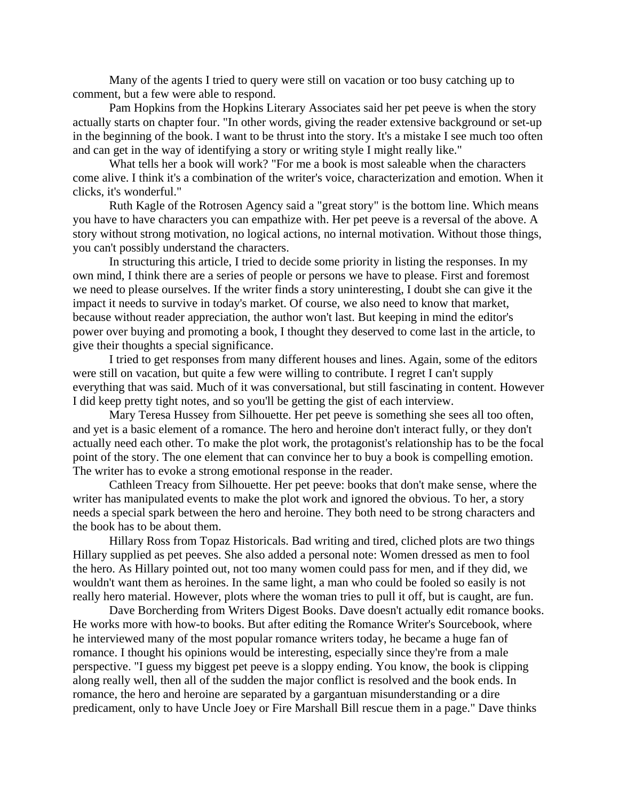Many of the agents I tried to query were still on vacation or too busy catching up to comment, but a few were able to respond.

Pam Hopkins from the Hopkins Literary Associates said her pet peeve is when the story actually starts on chapter four. "In other words, giving the reader extensive background or set-up in the beginning of the book. I want to be thrust into the story. It's a mistake I see much too often and can get in the way of identifying a story or writing style I might really like."

What tells her a book will work? "For me a book is most saleable when the characters come alive. I think it's a combination of the writer's voice, characterization and emotion. When it clicks, it's wonderful."

Ruth Kagle of the Rotrosen Agency said a "great story" is the bottom line. Which means you have to have characters you can empathize with. Her pet peeve is a reversal of the above. A story without strong motivation, no logical actions, no internal motivation. Without those things, you can't possibly understand the characters.

In structuring this article, I tried to decide some priority in listing the responses. In my own mind, I think there are a series of people or persons we have to please. First and foremost we need to please ourselves. If the writer finds a story uninteresting, I doubt she can give it the impact it needs to survive in today's market. Of course, we also need to know that market, because without reader appreciation, the author won't last. But keeping in mind the editor's power over buying and promoting a book, I thought they deserved to come last in the article, to give their thoughts a special significance.

I tried to get responses from many different houses and lines. Again, some of the editors were still on vacation, but quite a few were willing to contribute. I regret I can't supply everything that was said. Much of it was conversational, but still fascinating in content. However I did keep pretty tight notes, and so you'll be getting the gist of each interview.

Mary Teresa Hussey from Silhouette. Her pet peeve is something she sees all too often, and yet is a basic element of a romance. The hero and heroine don't interact fully, or they don't actually need each other. To make the plot work, the protagonist's relationship has to be the focal point of the story. The one element that can convince her to buy a book is compelling emotion. The writer has to evoke a strong emotional response in the reader.

Cathleen Treacy from Silhouette. Her pet peeve: books that don't make sense, where the writer has manipulated events to make the plot work and ignored the obvious. To her, a story needs a special spark between the hero and heroine. They both need to be strong characters and the book has to be about them.

Hillary Ross from Topaz Historicals. Bad writing and tired, cliched plots are two things Hillary supplied as pet peeves. She also added a personal note: Women dressed as men to fool the hero. As Hillary pointed out, not too many women could pass for men, and if they did, we wouldn't want them as heroines. In the same light, a man who could be fooled so easily is not really hero material. However, plots where the woman tries to pull it off, but is caught, are fun.

Dave Borcherding from Writers Digest Books. Dave doesn't actually edit romance books. He works more with how-to books. But after editing the Romance Writer's Sourcebook, where he interviewed many of the most popular romance writers today, he became a huge fan of romance. I thought his opinions would be interesting, especially since they're from a male perspective. "I guess my biggest pet peeve is a sloppy ending. You know, the book is clipping along really well, then all of the sudden the major conflict is resolved and the book ends. In romance, the hero and heroine are separated by a gargantuan misunderstanding or a dire predicament, only to have Uncle Joey or Fire Marshall Bill rescue them in a page." Dave thinks